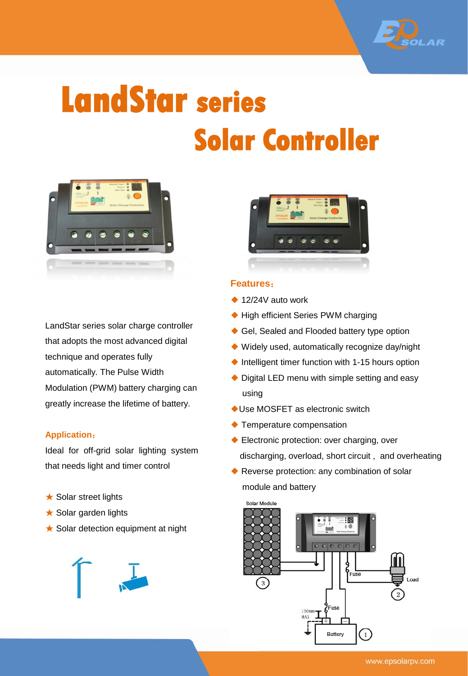

## **LandStar series Solar Controller**



LandStar series solar charge controller that adopts the most advanced digital technique and operates fully automatically. The Pulse Width Modulation (PWM) battery charging can greatly increase the lifetime of battery.

## **Application**:

Ideal for off-grid solar lighting system that needs light and timer control

- **★ Solar street lights**
- ★ Solar garden lights
- ★ Solar detection equipment at night





## **Features**:

- $\triangle$  12/24V auto work
- ◆ High efficient Series PWM charging
- ◆ Gel, Sealed and Flooded battery type option
- ◆ Widely used, automatically recognize day/night
- ◆ Intelligent timer function with 1-15 hours option
- ◆ Digital LED menu with simple setting and easy using
- ◆Use MOSFET as electronic switch
- ◆ Temperature compensation
- ◆ Electronic protection: over charging, over discharging, overload, short circuit , and overheating
- ◆ Reverse protection: any combination of solar module and battery